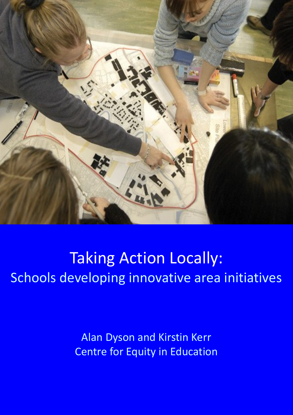

# Taking Action Locally: Schools developing innovative area initiatives

Alan Dyson and Kirstin Kerr Centre for Equity in Education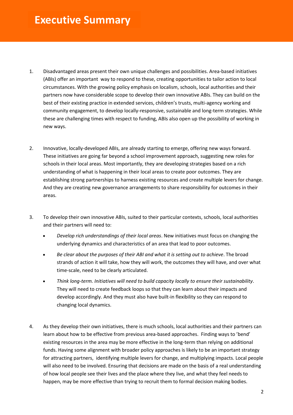- 1. Disadvantaged areas present their own unique challenges and possibilities. Area-based initiatives (ABIs) offer an important way to respond to these, creating opportunities to tailor action to local circumstances. With the growing policy emphasis on localism, schools, local authorities and their partners now have considerable scope to develop their own innovative ABIs. They can build on the best of their existing practice in extended services, children's trusts, multi-agency working and community engagement, to develop locally-responsive, sustainable and long-term strategies. While these are challenging times with respect to funding, ABIs also open up the possibility of working in new ways.
- 2. Innovative, locally-developed ABIs, are already starting to emerge, offering new ways forward. These initiatives are going far beyond a school improvement approach, suggesting new roles for schools in their local areas. Most importantly, they are developing strategies based on a rich understanding of what is happening in their local areas to create poor outcomes. They are establishing strong partnerships to harness existing resources and create multiple levers for change. And they are creating new governance arrangements to share responsibility for outcomes in their areas.
- 3. To develop their own innovative ABIs, suited to their particular contexts, schools, local authorities and their partners will need to:
	- *Develop rich understandings of their local areas*. New initiatives must focus on changing the underlying dynamics and characteristics of an area that lead to poor outcomes.
	- *Be clear about the purposes of their ABI and what it is setting out to achieve*. The broad strands of action it will take, how they will work, the outcomes they will have, and over what time-scale, need to be clearly articulated.
	- *Think long-term. Initiatives will need to build capacity locally to ensure their sustainability*. They will need to create feedback loops so that they can learn about their impacts and develop accordingly. And they must also have built-in flexibility so they can respond to changing local dynamics.
- 4. As they develop their own initiatives, there is much schools, local authorities and their partners can learn about how to be effective from previous area-based approaches. Finding ways to 'bend' existing resources in the area may be more effective in the long-term than relying on additional funds. Having some alignment with broader policy approaches is likely to be an important strategy for attracting partners, identifying multiple levers for change, and multiplying impacts. Local people will also need to be involved. Ensuring that decisions are made on the basis of a real understanding of how local people see their lives and the place where they live, and what they feel needs to happen, may be more effective than trying to recruit them to formal decision making bodies.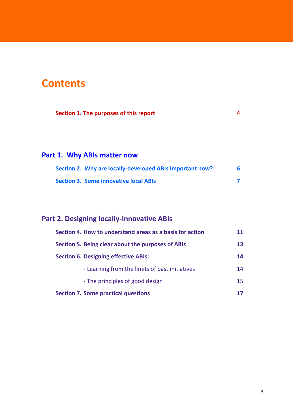### **Contents**

| Section 1. The purposes of this report |  |
|----------------------------------------|--|
|----------------------------------------|--|

### **Part 1. Why ABIs matter now**

| Section 2. Why are locally-developed ABIs important now? |  |
|----------------------------------------------------------|--|
| <b>Section 3. Some innovative local ABIs</b>             |  |

### **Part 2. Designing locally-innovative ABIs**

| Section 4. How to understand areas as a basis for action |    |  |
|----------------------------------------------------------|----|--|
| Section 5. Being clear about the purposes of ABIs        |    |  |
| <b>Section 6. Designing effective ABIs:</b>              |    |  |
| - Learning from the limits of past initiatives           | 14 |  |
| - The principles of good design                          | 15 |  |
| <b>Section 7. Some practical questions</b>               |    |  |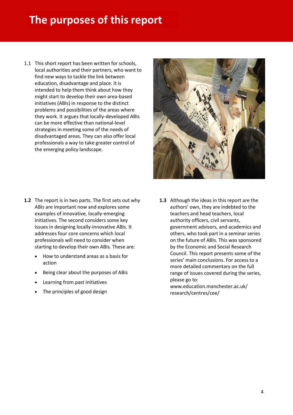## **The purposes of this report**

1.1 This short report has been written for schools, local authorities and their partners, who want to find new ways to tackle the link between education, disadvantage and place. It is intended to help them think about how they might start to develop their own area-based initiatives (ABIs) in response to the distinct problems and possibilities of the areas where they work. It argues that locally-developed ABIs can be more effective than national-level strategies in meeting some of the needs of disadvantaged areas. They can also offer local professionals a way to take greater control of the emerging policy landscape.

![](_page_3_Picture_2.jpeg)

- **1.2** The report is in two parts. The first sets out why ABIs are important now and explores some examples of innovative, locally-emerging initiatives. The second considers some key issues in designing locally-innovative ABIs. It addresses four core concerns which local professionals will need to consider when starting to develop their own ABIs. These are:
	- How to understand areas as a basis for action
	- Being clear about the purposes of ABIs
	- Learning from past initiatives
	- The principles of good design

**1.3** Although the ideas in this report are the authors' own, they are indebted to the teachers and head teachers, local authority officers, civil servants, government advisors, and academics and others, who took part in a seminar series on the future of ABIs. This was sponsored by the Economic and Social Research Council. This report presents some of the series' main conclusions. For access to a more detailed commentary on the full range of issues covered during the series, please go to:

www.education.manchester.ac.uk/ research/centres/cee/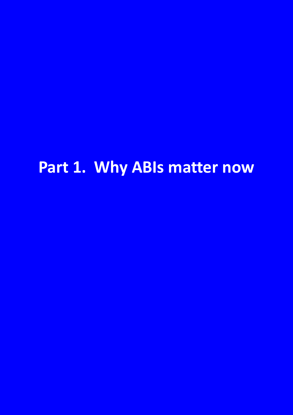# **Part 1. Why ABIs matter now**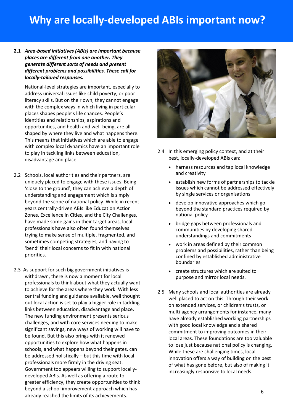# **Why are locally-developed ABIs important now?**

#### **2.1** *Area-based initiatives (ABIs) are important because places are different from one another. They generate different sorts of needs and present different problems and possibilities. These call for locally-tailored responses.*

National-level strategies are important, especially to address universal issues like child poverty, or poor literacy skills. But on their own, they cannot engage with the complex ways in which living in particular places shapes people's life chances. People's identities and relationships, aspirations and opportunities, and health and well-being, are all shaped by where they live and what happens there. This means that initiatives which are able to engage with complex local dynamics have an important role to play in tackling links between education, disadvantage and place.

- 2.2 Schools, local authorities and their partners, are uniquely placed to engage with these issues. Being 'close to the ground', they can achieve a depth of understanding and engagement which is simply beyond the scope of national policy. While in recent years centrally-driven ABIs like Education Action Zones, Excellence in Cities, and the City Challenges, have made some gains in their target areas, local professionals have also often found themselves trying to make sense of multiple, fragmented, and sometimes competing strategies, and having to 'bend' their local concerns to fit in with national priorities.
- 2.3 As support for such big government initiatives is withdrawn, there is now a moment for local professionals to think about what they actually want to achieve for the areas where they work. With less central funding and guidance available, well thought out local action is set to play a bigger role in tackling links between education, disadvantage and place. The new funding environment presents serious challenges, and with core services needing to make significant savings, new ways of working will have to be found. But this also brings with it renewed opportunities to explore how what happens in schools, and what happens beyond their gates, can be addressed holistically – but this time with local professionals more firmly in the driving seat. Government too appears willing to support locallydeveloped ABIs. As well as offering a route to greater efficiency, they create opportunities to think beyond a school improvement approach which has already reached the limits of its achievements.

![](_page_5_Picture_5.jpeg)

- 2.4 In this emerging policy context, and at their best, locally-developed ABIs can:
	- harness resources and tap local knowledge and creativity
	- establish new forms of partnerships to tackle issues which cannot be addressed effectively by single services or organisations
	- develop innovative approaches which go beyond the standard practices required by national policy
	- bridge gaps between professionals and communities by developing shared understandings and commitments
	- work in areas defined by their common problems and possibilities, rather than being confined by established administrative boundaries
	- create structures which are suited to purpose and mirror local needs.
- 2.5 Many schools and local authorities are already well placed to act on this. Through their work on extended services, or children's trusts, or multi-agency arrangements for instance, many have already established working partnerships with good local knowledge and a shared commitment to improving outcomes in their local areas. These foundations are too valuable to lose just because national policy is changing. While these are challenging times, local innovation offers a way of building on the best of what has gone before, but also of making it increasingly responsive to local needs.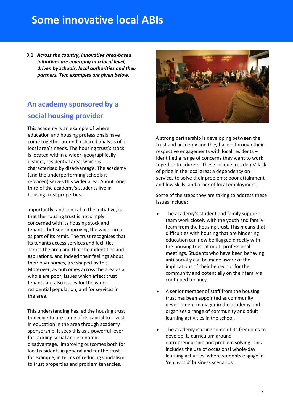### **Some innovative local ABIs**

**3.1** *Across the country, innovative area-based initiatives are emerging at a local level, driven by schools, local authorities and their partners. Two examples are given below.* 

### **An academy sponsored by a social housing provider**

This academy is an example of where education and housing professionals have come together around a shared analysis of a local area's needs. The housing trust's stock is located within a wider, geographically distinct, residential area, which is characterised by disadvantage. The academy (and the underperforming schools it replaced) serves this wider area. About one third of the academy's students live in housing trust properties.

Importantly, and central to the initiative, is that the housing trust is not simply concerned with its housing stock and tenants, but sees improving the wider area as part of its remit. The trust recognises that its tenants access services and facilities across the area and that their identities and aspirations, and indeed their feelings about their own homes, are shaped by this. Moreover, as outcomes across the area as a whole are poor, issues which affect trust tenants are also issues for the wider residential population, and for services in the area.

This understanding has led the housing trust to decide to use some of its capital to invest in education in the area through academy sponsorship. It sees this as a powerful lever for tackling social and economic disadvantage, improving outcomes both for local residents in general and for the trust for example, in terms of reducing vandalism to trust properties and problem tenancies.

![](_page_6_Picture_6.jpeg)

A strong partnership is developing between the trust and academy and they have – through their respective engagements with local residents – identified a range of concerns they want to work together to address. These include: residents' lack of pride in the local area; a dependency on services to solve their problems; poor attainment and low skills; and a lack of local employment.

Some of the steps they are taking to address these issues include:

- The academy's student and family support team work closely with the youth and family team from the housing trust. This means that difficulties with housing that are hindering education can now be flagged directly with the housing trust at multi-professional meetings. Students who have been behaving anti-socially can be made aware of the implications of their behaviour for the community and potentially on their family's continued tenancy.
- A senior member of staff from the housing trust has been appointed as community development manager in the academy and organises a range of community and adult learning activities in the school.
- The academy is using some of its freedoms to develop its curriculum around entrepreneurship and problem solving. This includes the use of occasional whole-day learning activities, where students engage in 'real world' business scenarios.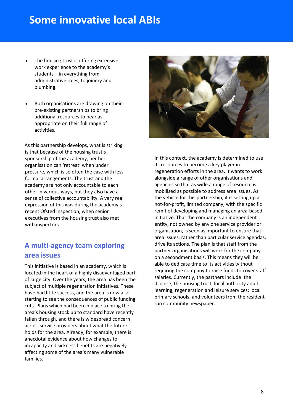### **Some innovative local ABIs**

- The housing trust is offering extensive work experience to the academy's students – in everything from administrative roles, to joinery and plumbing.
- Both organisations are drawing on their pre-existing partnerships to bring additional resources to bear as appropriate on their full range of activities.

As this partnership develops, what is striking is that because of the housing trust's sponsorship of the academy, neither organisation can 'retreat' when under pressure, which is so often the case with less formal arrangements. The trust and the academy are not only accountable to each other in various ways, but they also have a sense of collective accountability. A very real expression of this was during the academy's recent Ofsted inspection, when senior executives from the housing trust also met with inspectors.

### **A multi-agency team exploring area issues**

This initiative is based in an academy, which is located in the heart of a highly disadvantaged part of large city. Over the years, the area has been the subject of multiple regeneration initiatives. These have had little success, and the area is now also starting to see the consequences of public funding cuts. Plans which had been in place to bring the area's housing stock up to standard have recently fallen through, and there is widespread concern across service providers about what the future holds for the area. Already, for example, there is anecdotal evidence about how changes to incapacity and sickness benefits are negatively affecting some of the area's many vulnerable families.

![](_page_7_Picture_6.jpeg)

In this context, the academy is determined to use its resources to become a key player in regeneration efforts in the area. It wants to work alongside a range of other organisations and agencies so that as wide a range of resource is mobilised as possible to address area issues. As the vehicle for this partnership, it is setting up a not-for-profit, limited company, with the specific remit of developing and managing an area-based initiative. That the company is an independent entity, not owned by any one service provider or organisation, is seen as important to ensure that area issues, rather than particular service agendas, drive its actions. The plan is that staff from the partner organisations will work for the company on a secondment basis. This means they will be able to dedicate time to its activities without requiring the company to raise funds to cover staff salaries. Currently, the partners include: the diocese; the housing trust; local authority adult learning, regeneration and leisure services; local primary schools; and volunteers from the residentrun community newspaper.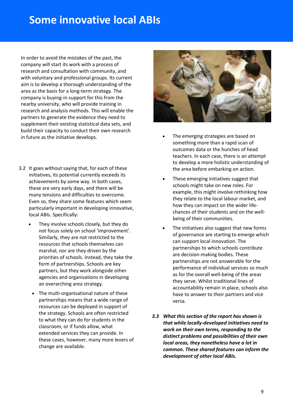### **Some innovative local ABIs**

In order to avoid the mistakes of the past, the company will start its work with a process of research and consultation with community, and with voluntary and professional groups. Its current aim is to develop a thorough understanding of the area as the basis for a long-term strategy. The company is buying-in support for this from the nearby university, who will provide training in research and analysis methods. This will enable the partners to generate the evidence they need to supplement their existing statistical data sets, and build their capacity to conduct their own research in future as the initiative develops.  $\bullet$  The emerging strategies are based on

- 3.2 It goes without saying that, for each of these initiatives, its potential currently exceeds its achievements by some way. In both cases, these are very early days, and there will be many tensions and difficulties to overcome. Even so, they share some features which seem particularly important in developing innovative, local ABIs. Specifically:
	- They involve schools closely, but they do not focus solely on school 'improvement'. Similarly, they are not restricted to the resources that schools themselves can marshal, nor are they driven by the priorities of schools. Instead, they take the form of partnerships. Schools are key partners, but they work alongside other agencies and organisations in developing an overarching area strategy.
	- The multi-organisational nature of these partnerships means that a wide range of resources can be deployed in support of the strategy. Schools are often restricted to what they can do for students in the classroom, or if funds allow, what extended services they can provide. In these cases, however, many more levers of change are available.

![](_page_8_Picture_5.jpeg)

- something more than a rapid scan of outcomes data or the hunches of head teachers. In each case, there is an attempt to develop a more holistic understanding of the area before embarking on action.
- These emerging initiatives suggest that schools might take on new roles. For example, this might involve rethinking how they relate to the local labour market, and how they can impact on the wider lifechances of their students and on the wellbeing of their communities.
- The initiatives also suggest that new forms of governance are starting to emerge which can support local innovation. The partnerships to which schools contribute are decision-making bodies. These partnerships are not answerable for the performance of individual services so much as for the overall well-being of the areas they serve. Whilst traditional lines of accountability remain in place, schools also have to answer to their partners and vice versa.
- *3.3 What this section of the report has shown is that while locally-developed initiatives need to work on their own terms, responding to the distinct problems and possibilities of their own local areas, they nonetheless have a lot in common. These shared features can inform the development of other local ABIs.*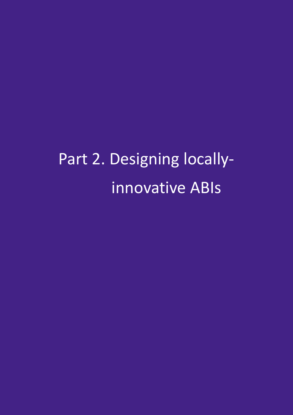Part 2. Designing locally innovative ABIs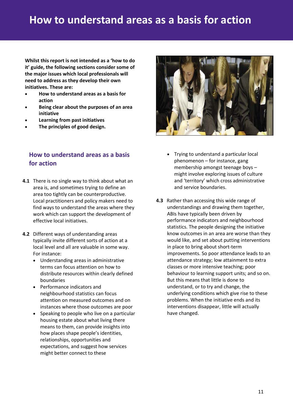### **How to understand areas as a basis for action**

 **Whilst this report is not intended as a 'how to do it' guide, the following sections consider some of the major issues which local professionals will need to address as they develop their own initiatives. These are:**

- **How to understand areas as a basis for action**
- **Being clear about the purposes of an area initiative**
- **Learning from past initiatives**
- **The principles of good design.**

### **How to understand areas as a basis for action**

- **4.1** There is no single way to think about what an area is, and sometimes trying to define an area too tightly can be counterproductive. Local practitioners and policy makers need to find ways to understand the areas where they work which can support the development of effective local initiatives.
- **4.2** Different ways of understanding areas typically invite different sorts of action at a local level and all are valuable in some way. For instance:
	- Understanding areas in administrative terms can focus attention on how to distribute resources within clearly defined boundaries
	- Performance indicators and neighbourhood statistics can focus attention on measured outcomes and on instances where those outcomes are poor
	- Speaking to people who live on a particular housing estate about what living there means to them, can provide insights into how places shape people's identities, relationships, opportunities and expectations, and suggest how services might better connect to these

![](_page_10_Picture_12.jpeg)

- Trying to understand a particular local phenomenon – for instance, gang membership amongst teenage boys – might involve exploring issues of culture and 'territory' which cross administrative and service boundaries.
- **4.3** Rather than accessing this wide range of understandings and drawing them together, ABIs have typically been driven by performance indicators and neighbourhood statistics. The people designing the initiative know outcomes in an area are worse than they would like, and set about putting interventions in place to bring about short-term improvements. So poor attendance leads to an attendance strategy; low attainment to extra classes or more intensive teaching; poor behaviour to learning support units; and so on. But this means that little is done to understand, or to try and change, the underlying conditions which give rise to these problems. When the initiative ends and its interventions disappear, little will actually have changed.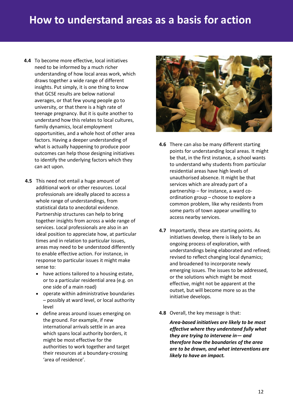### **How to understand areas as a basis for action**

- **4.4** To become more effective, local initiatives need to be informed by a much richer understanding of how local areas work, which draws together a wide range of different insights. Put simply, it is one thing to know that GCSE results are below national averages, or that few young people go to university, or that there is a high rate of teenage pregnancy. But it is quite another to understand how this relates to local cultures, family dynamics, local employment opportunities, and a whole host of other area factors. Having a deeper understanding of what is actually happening to produce poor outcomes can help those designing initiatives to identify the underlying factors which they can act upon.
- **4.5** This need not entail a huge amount of additional work or other resources. Local professionals are ideally placed to access a whole range of understandings, from statistical data to anecdotal evidence. Partnership structures can help to bring together insights from across a wide range of services. Local professionals are also in an ideal position to appreciate how, at particular times and in relation to particular issues, areas may need to be understood differently to enable effective action. For instance, in response to particular issues it might make sense to:
	- have actions tailored to a housing estate, or to a particular residential area (e.g. on one side of a main road)
	- operate within administrative boundaries – possibly at ward level, or local authority level
	- define areas around issues emerging on the ground. For example, if new international arrivals settle in an area which spans local authority borders, it might be most effective for the authorities to work together and target their resources at a boundary-crossing 'area of residence'.

![](_page_11_Picture_6.jpeg)

- **4.6** There can also be many different starting points for understanding local areas. It might be that, in the first instance, a school wants to understand why students from particular residential areas have high levels of unauthorised absence. It might be that services which are already part of a partnership – for instance, a ward coordination group – choose to explore a common problem, like why residents from some parts of town appear unwilling to access nearby services.
- **4.7** Importantly, these are starting points. As initiatives develop, there is likely to be an ongoing process of exploration, with understandings being elaborated and refined; revised to reflect changing local dynamics; and broadened to incorporate newly emerging issues. The issues to be addressed, or the solutions which might be most effective, might not be apparent at the outset, but will become more so as the initiative develops.
- **4.8** Overall, the key message is that:

*Area-based initiatives are likely to be most effective where they understand fully what they are trying to intervene in— and therefore how the boundaries of the area are to be drawn, and what interventions are likely to have an impact.*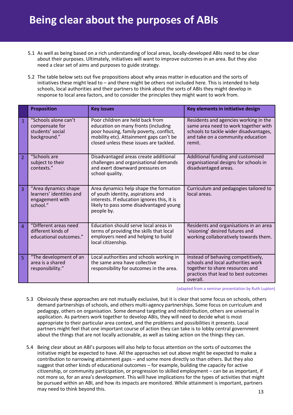- 5.1 As well as being based on a rich understanding of local areas, locally-developed ABIs need to be clear about their purposes. Ultimately, initiatives will want to improve outcomes in an area. But they also need a clear set of aims and purposes to guide strategy.
- 5.2 The table below sets out five propositions about why areas matter in education and the sorts of initiatives these might lead to – and there might be others not included here. This is intended to help schools, local authorities and their partners to think about the sorts of ABIs they might develop in response to local area factors, and to consider the principles they might want to work from.

|                | <b>Proposition</b>                                                              | <b>Key issues</b>                                                                                                                                                                                        | Key elements in initiative design                                                                                                                                      |
|----------------|---------------------------------------------------------------------------------|----------------------------------------------------------------------------------------------------------------------------------------------------------------------------------------------------------|------------------------------------------------------------------------------------------------------------------------------------------------------------------------|
| $\overline{1}$ | "Schools alone can't<br>compensate for<br>students' social<br>background."      | Poor children are held back from<br>education on many fronts (including<br>poor housing, family poverty, conflict,<br>mobility etc). Attainment gaps can't be<br>closed unless these issues are tackled. | Residents and agencies working in the<br>same area need to work together with<br>schools to tackle wider disadvantages,<br>and take on a community education<br>remit. |
| $\overline{2}$ | "Schools are<br>subject to their<br>contexts."                                  | Disadvantaged areas create additional<br>challenges and organisational demands<br>and exert downward pressures on<br>school quality.                                                                     | Additional funding and customised<br>organisational designs for schools in<br>disadvantaged areas.                                                                     |
| $\overline{3}$ | "Area dynamics shape<br>learners' identities and<br>engagement with<br>school." | Area dynamics help shape the formation<br>of youth identity, aspirations and<br>interests. If education ignores this, it is<br>likely to pass some disadvantaged young<br>people by.                     | Curriculum and pedagogies tailored to<br>local areas.                                                                                                                  |
| $\overline{4}$ | "Different areas need<br>different kinds of<br>educational outcomes."           | Education should serve local areas in<br>terms of providing the skills that local<br>employers need and helping to build<br>local citizenship.                                                           | Residents and organisations in an area<br>'visioning' desired futures and<br>working collaboratively towards them.                                                     |
| 5              | "The development of an<br>area is a shared<br>responsibility."                  | Local authorities and schools working in<br>the same area have collective<br>responsibility for outcomes in the area.                                                                                    | Instead of behaving competitively,<br>schools and local authorities work<br>together to share resources and<br>practices that lead to best outcomes<br>overall.        |

(adapted from a seminar presentation by Ruth Lupton)

- 5.3 Obviously these approaches are not mutually exclusive, but it is clear that some focus on schools, others demand partnerships of schools, and others multi-agency partnerships. Some focus on curriculum and pedagogy, others on organisation. Some demand targeting and redistribution, others are universal in application. As partners work together to develop ABIs, they will need to decide what is most appropriate to their particular area context, and the problems and possibilities it presents. Local partners might feel that one important course of action they can take is to lobby central government about the things that are not locally actionable, as well as taking action on the things they can.
- 5.4 Being clear about an ABI's purposes will also help to focus attention on the sorts of outcomes the initiative might be expected to have. All the approaches set out above might be expected to make a contribution to narrowing attainment gaps – and some more directly so than others. But they also suggest that other kinds of educational outcomes – for example, building the capacity for active citizenship, or community participation, or progression to skilled employment – can be as important, if not more so, for an area's development. This will have implications for the types of activities that might be pursued within an ABI, and how its impacts are monitored. While attainment is important, partners may need to think beyond this.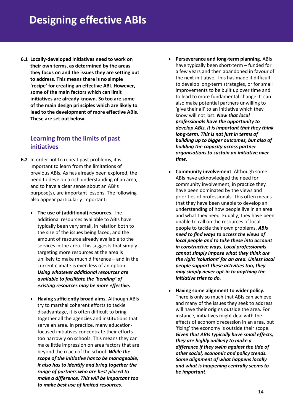**6.1 Locally-developed initiatives need to work on their own terms, as determined by the areas they focus on and the issues they are setting out to address. This means there is no simple 'recipe' for creating an effective ABI. However, some of the main factors which can limit initiatives are already known. So too are some of the main design principles which are likely to lead to the development of more effective ABIs. These are set out below.**

#### **Learning from the limits of past initiatives**

- **6.2** In order not to repeat past problems, it is important to learn from the limitations of previous ABIs. As has already been explored, the need to develop a rich understanding of an area, and to have a clear sense about an ABI's purpose(s), are important lessons. The following also appear particularly important:
	- **The use of (additional) resources.** The additional resources available to ABIs have typically been very small, in relation both to the size of the issues being faced, and the amount of resource already available to the services in the area. This suggests that simply targeting more resources at the area is unlikely to make much difference – and in the current climate is even less of an option. *Using whatever additional resources are available to facilitate the 'bending' of existing resources may be more effective.*
	- **Having sufficiently broad aims.** Although ABIs try to marshal coherent efforts to tackle disadvantage, it is often difficult to bring together all the agencies and institutions that serve an area. In practice, many educationfocused initiatives concentrate their efforts too narrowly on schools. This means they can make little impression on area factors that are beyond the reach of the school. *While the scope of the initiative has to be manageable, it also has to identify and bring together the range of partners who are best placed to make a difference. This will be important too to make best use of limited resources.*
- **Perseverance and long-term planning.** ABIs have typically been short-term – funded for a few years and then abandoned in favour of the next initiative. This has made it difficult to develop long-term strategies, or for small improvements to be built up over time and to lead to more fundamental change. It can also make potential partners unwilling to 'give their all' to an initiative which they know will not last. *Now that local professional***s** *have the opportunity to develop ABIs, it is important that they think long-term. This is not just in terms of building up to bigger outcomes, but also of building the capacity across partner organisations to sustain an initiative over time.*
- **Community involvement**. Although some ABIs have acknowledged the need for community involvement, in practice they have been dominated by the views and priorities of professionals. This often means that they have been unable to develop an understanding of how people live in an area and what they need. Equally, they have been unable to call on the resources of local people to tackle their own problems. *ABIs need to find ways to access the views of local people and to take these into account in constructive ways. Local professionals cannot simply impose what they think are the right 'solutions' for an area. Unless local people support these activities too, they may simply never opt-in to anything the initiative tries to do.*
- **Having some alignment to wider policy.** There is only so much that ABIs can achieve, and many of the issues they seek to address will have their origins outside the area. For instance, initiatives might deal with the effects of economic recession in an area, but 'fixing' the economy is outside their scope. *Given that ABIs typically have small effects, they are highly unlikely to make a difference if they swim against the tide of other social, economic and policy trends. Some alignment of what happens locally and what is happening centrally seems to be important*.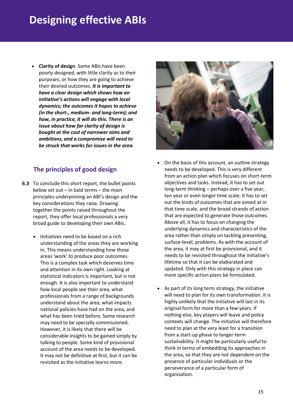## **Designing effective ABIs**

 **Clarity of design**. Some ABIs have been poorly designed, with little clarity as to their purposes, or how they are going to achieve their desired outcomes. *It is important to have a clear design which shows how an initiative's actions will engage with local dynamics; the outcomes it hopes to achieve (in the short-, medium- and long-term); and how, in practice, it will do this. There is an issue about how far clarity of design is bought at the cost of narrower aims and ambitions, and a compromise will need to be struck that works for issues in the area.*

### **The principles of good design**

- **6.3** To conclude this short report, the bullet points below set out – in bald terms – the main principles underpinning an ABI's design and the key considerations they raise. Drawing together the points raised throughout the report, they offer local professionals a very broad guide to developing their own ABIs.
	- Initiatives need to be based on a rich understanding of the areas they are working in. This means understanding how those areas 'work' to produce poor outcomes. This is a complex task which deserves time and attention in its own right. Looking at statistical indicators is important, but is not enough. It is also important to understand how local people see their area, what professionals from a range of backgrounds understand about the area, what impacts national policies have had on the area, and what has been tried before. Some research may need to be specially commissioned. However, it is likely that there will be considerable insights to be gained simply by talking to people. Some kind of provisional account of the area needs to be developed. It may not be definitive at first, but it can be revisited as the initiative learns more.

![](_page_14_Picture_5.jpeg)

- On the basis of this account, an outline strategy needs to be developed. This is very different from an action plan which focuses on short-term objectives and tasks. Instead, it has to set out long-term thinking – perhaps over a five year, ten year or even longer time scale. It has to set out the kinds of outcomes that are aimed at in that time scale, and the broad strands of action that are expected to generate those outcomes. Above all, it has to focus on changing the underlying dynamics and characteristics of the area rather than simply on tackling presenting, surface-level, problems. As with the account of the area, it may at first be provisional, and it needs to be revisited throughout the initiative's lifetime so that it can be elaborated and updated. Only with this strategy in place can more specific action plans be formulated.
- As part of its long term strategy, the initiative will need to plan for its own transformation. It is highly unlikely that the initiative will last in its original form for more than a few years. If nothing else, key players will leave and policy contexts will change. The initiative will therefore need to plan at the very least for a transition from a start-up phase to longer-term sustainability. It might be particularly useful to think in terms of embedding its approaches in the area, so that they are not dependent on the presence of particular individuals or the perseverance of a particular form of organisation.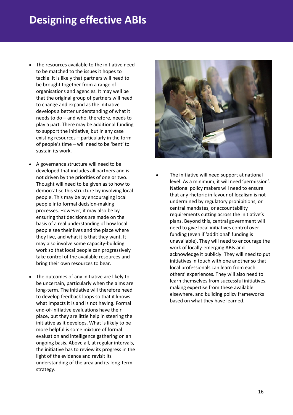## **Designing effective ABIs**

- The resources available to the initiative need to be matched to the issues it hopes to tackle. It is likely that partners will need to be brought together from a range of organisations and agencies. It may well be that the original group of partners will need to change and expand as the initiative develops a better understanding of what it needs to do – and who, therefore, needs to play a part. There may be additional funding to support the initiative, but in any case existing resources – particularly in the form of people's time – will need to be 'bent' to sustain its work.
- A governance structure will need to be developed that includes all partners and is not driven by the priorities of one or two. Thought will need to be given as to how to democratise this structure by involving local people. This may be by encouraging local people into formal decision-making processes. However, it may also be by ensuring that decisions are made on the basis of a real understanding of how local people see their lives and the place where they live, and what it is that they want. It may also involve some capacity-building work so that local people can progressively take control of the available resources and bring their own resources to bear.
- The outcomes of any initiative are likely to be uncertain, particularly when the aims are long-term. The initiative will therefore need to develop feedback loops so that it knows what impacts it is and is not having. Formal end-of-initiative evaluations have their place, but they are little help in steering the initiative as it develops. What is likely to be more helpful is some mixture of formal evaluation and intelligence gathering on an ongoing basis. Above all, at regular intervals, the initiative has to review its progress in the light of the evidence and revisit its understanding of the area and its long-term strategy.

![](_page_15_Picture_4.jpeg)

 The initiative will need support at national level. As a minimum, it will need 'permission'. National policy makers will need to ensure that any rhetoric in favour of localism is not undermined by regulatory prohibitions, or central mandates, or accountability requirements cutting across the initiative's plans. Beyond this, central government will need to give local initiatives control over funding (even if 'additional' funding is unavailable). They will need to encourage the work of locally-emerging ABIs and acknowledge it publicly. They will need to put initiatives in touch with one another so that local professionals can learn from each others' experiences. They will also need to learn themselves from successful initiatives, making expertise from these available elsewhere, and building policy frameworks based on what they have learned.